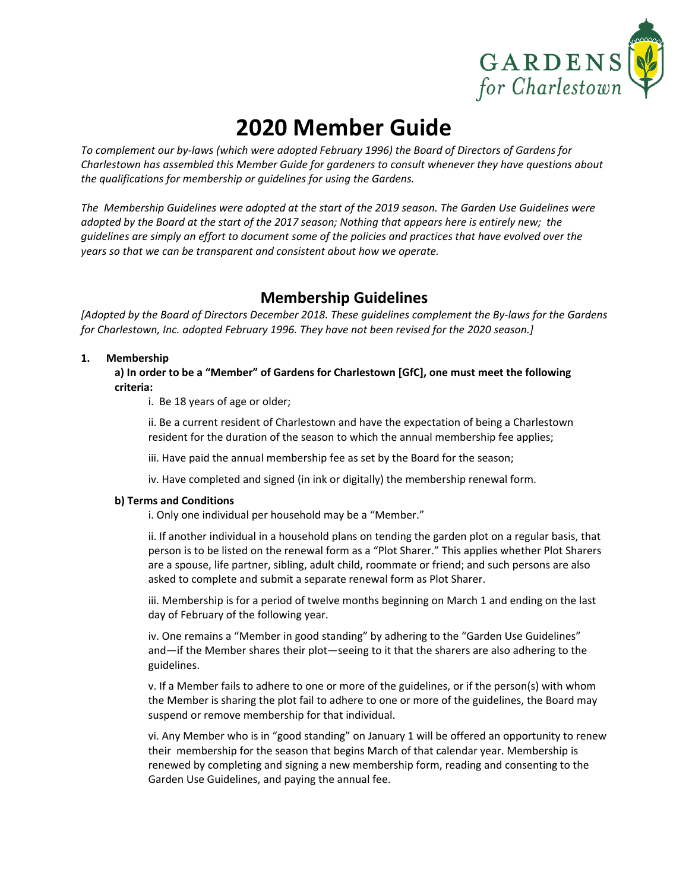

# **2020 Member Guide**

*To complement our by‐laws (which were adopted February 1996) the Board of Directors of Gardens for Charlestown has assembled this Member Guide for gardeners to consult whenever they have questions about the qualifications for membership or guidelines for using the Gardens.*

The Membership Guidelines were adopted at the start of the 2019 season. The Garden Use Guidelines were adopted by the Board at the start of the 2017 season; Nothing that appears here is entirely new; the quidelines are simply an effort to document some of the policies and practices that have evolved over the *years so that we can be transparent and consistent about how we operate.* 

# **Membership Guidelines**

[Adopted by the Board of Directors December 2018. These guidelines complement the By-laws for the Gardens *for Charlestown, Inc. adopted February 1996. They have not been revised for the 2020 season.]*

### **1. Membership**

**a) In order to be a "Member" of Gardens for Charlestown [GfC], one must meet the following criteria:**

i. Be 18 years of age or older;

ii. Be a current resident of Charlestown and have the expectation of being a Charlestown resident for the duration of the season to which the annual membership fee applies;

iii. Have paid the annual membership fee as set by the Board for the season;

iv. Have completed and signed (in ink or digitally) the membership renewal form.

### **b) Terms and Conditions**

i. Only one individual per household may be a "Member."

ii. If another individual in a household plans on tending the garden plot on a regular basis, that person is to be listed on the renewal form as a "Plot Sharer." This applies whether Plot Sharers are a spouse, life partner, sibling, adult child, roommate or friend; and such persons are also asked to complete and submit a separate renewal form as Plot Sharer.

iii. Membership is for a period of twelve months beginning on March 1 and ending on the last day of February of the following year.

iv. One remains a "Member in good standing" by adhering to the "Garden Use Guidelines" and—if the Member shares their plot—seeing to it that the sharers are also adhering to the guidelines.

v. If a Member fails to adhere to one or more of the guidelines, or if the person(s) with whom the Member is sharing the plot fail to adhere to one or more of the guidelines, the Board may suspend or remove membership for that individual.

vi. Any Member who is in "good standing" on January 1 will be offered an opportunity to renew their membership for the season that begins March of that calendar year. Membership is renewed by completing and signing a new membership form, reading and consenting to the Garden Use Guidelines, and paying the annual fee.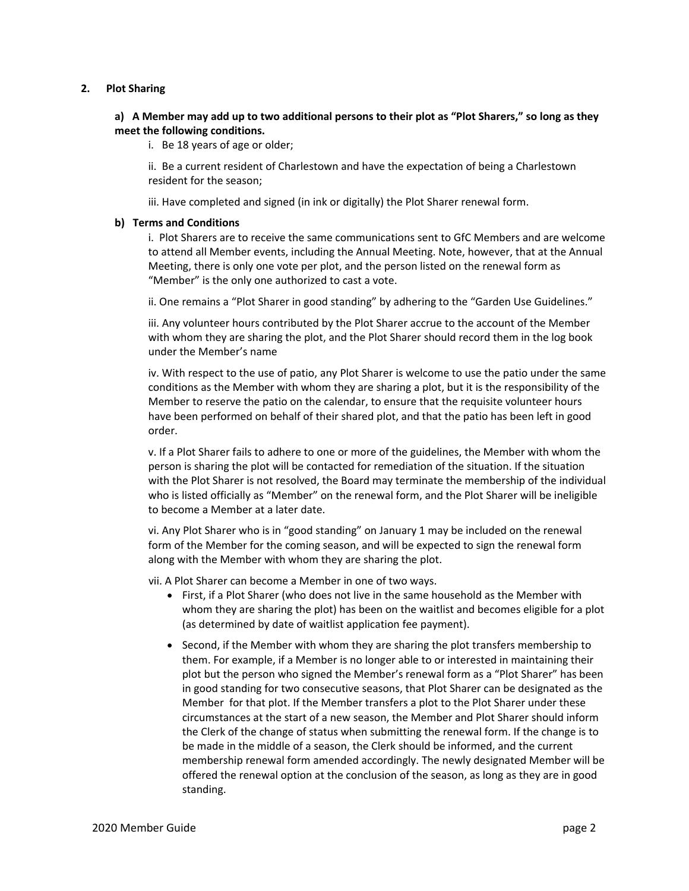#### **2. Plot Sharing**

### a) A Member may add up to two additional persons to their plot as "Plot Sharers," so long as they **meet the following conditions.**

i. Be 18 years of age or older;

ii. Be a current resident of Charlestown and have the expectation of being a Charlestown resident for the season;

iii. Have completed and signed (in ink or digitally) the Plot Sharer renewal form.

### **b) Terms and Conditions**

i. Plot Sharers are to receive the same communications sent to GfC Members and are welcome to attend all Member events, including the Annual Meeting. Note, however, that at the Annual Meeting, there is only one vote per plot, and the person listed on the renewal form as "Member" is the only one authorized to cast a vote.

ii. One remains a "Plot Sharer in good standing" by adhering to the "Garden Use Guidelines."

iii. Any volunteer hours contributed by the Plot Sharer accrue to the account of the Member with whom they are sharing the plot, and the Plot Sharer should record them in the log book under the Member's name

iv. With respect to the use of patio, any Plot Sharer is welcome to use the patio under the same conditions as the Member with whom they are sharing a plot, but it is the responsibility of the Member to reserve the patio on the calendar, to ensure that the requisite volunteer hours have been performed on behalf of their shared plot, and that the patio has been left in good order.

v. If a Plot Sharer fails to adhere to one or more of the guidelines, the Member with whom the person is sharing the plot will be contacted for remediation of the situation. If the situation with the Plot Sharer is not resolved, the Board may terminate the membership of the individual who is listed officially as "Member" on the renewal form, and the Plot Sharer will be ineligible to become a Member at a later date.

vi. Any Plot Sharer who is in "good standing" on January 1 may be included on the renewal form of the Member for the coming season, and will be expected to sign the renewal form along with the Member with whom they are sharing the plot.

vii. A Plot Sharer can become a Member in one of two ways.

- First, if a Plot Sharer (who does not live in the same household as the Member with whom they are sharing the plot) has been on the waitlist and becomes eligible for a plot (as determined by date of waitlist application fee payment).
- $\bullet$  Second, if the Member with whom they are sharing the plot transfers membership to them. For example, if a Member is no longer able to or interested in maintaining their plot but the person who signed the Member's renewal form as a "Plot Sharer" has been in good standing for two consecutive seasons, that Plot Sharer can be designated as the Member for that plot. If the Member transfers a plot to the Plot Sharer under these circumstances at the start of a new season, the Member and Plot Sharer should inform the Clerk of the change of status when submitting the renewal form. If the change is to be made in the middle of a season, the Clerk should be informed, and the current membership renewal form amended accordingly. The newly designated Member will be offered the renewal option at the conclusion of the season, as long as they are in good standing.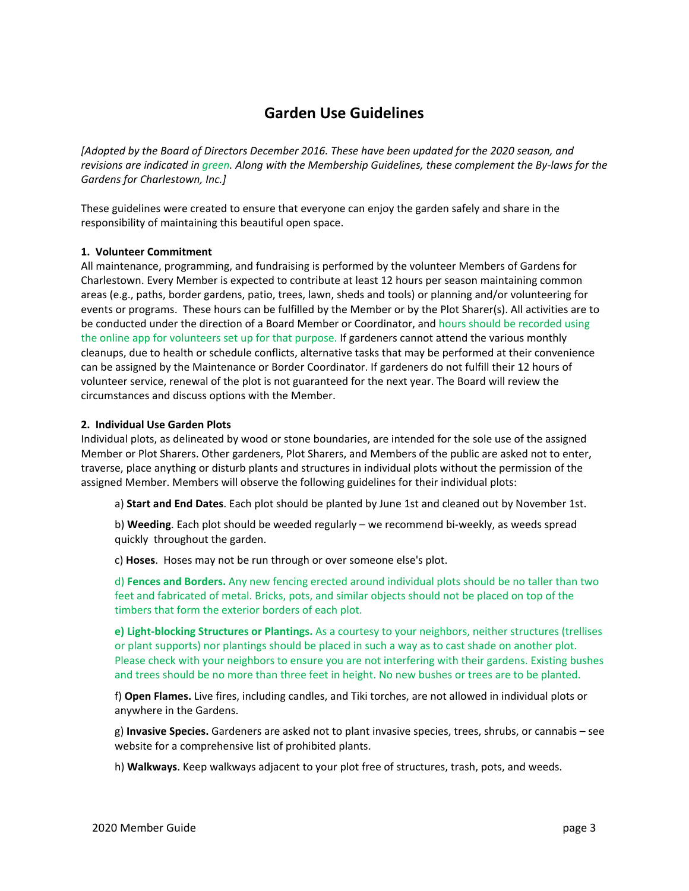## **Garden Use Guidelines**

*[Adopted by the Board of Directors December 2016. These have been updated for the 2020 season, and* revisions are indicated in green. Along with the Membership Guidelines, these complement the By-laws for the *Gardens for Charlestown, Inc.]*

These guidelines were created to ensure that everyone can enjoy the garden safely and share in the responsibility of maintaining this beautiful open space.

### **1. Volunteer Commitment**

All maintenance, programming, and fundraising is performed by the volunteer Members of Gardens for Charlestown. Every Member is expected to contribute at least 12 hours per season maintaining common areas (e.g., paths, border gardens, patio, trees, lawn, sheds and tools) or planning and/or volunteering for events or programs. These hours can be fulfilled by the Member or by the Plot Sharer(s). All activities are to be conducted under the direction of a Board Member or Coordinator, and hours should be recorded using the online app for volunteers set up for that purpose. If gardeners cannot attend the various monthly cleanups, due to health or schedule conflicts, alternative tasks that may be performed at their convenience can be assigned by the Maintenance or Border Coordinator. If gardeners do not fulfill their 12 hours of volunteer service, renewal of the plot is not guaranteed for the next year. The Board will review the circumstances and discuss options with the Member.

### **2. Individual Use Garden Plots**

Individual plots, as delineated by wood or stone boundaries, are intended for the sole use of the assigned Member or Plot Sharers. Other gardeners, Plot Sharers, and Members of the public are asked not to enter, traverse, place anything or disturb plants and structures in individual plots without the permission of the assigned Member. Members will observe the following guidelines for their individual plots:

a) **Start and End Dates**. Each plot should be planted by June 1st and cleaned out by November 1st.

b) **Weeding**. Each plot should be weeded regularly – we recommend bi-weekly, as weeds spread quickly throughout the garden.

c) **Hoses**. Hoses may not be run through or over someone else's plot.

d) **Fences and Borders.** Any new fencing erected around individual plots should be no taller than two feet and fabricated of metal. Bricks, pots, and similar objects should not be placed on top of the timbers that form the exterior borders of each plot.

**e) Light‐blocking Structures or Plantings.** As a courtesy to your neighbors, neither structures (trellises or plant supports) nor plantings should be placed in such a way as to cast shade on another plot. Please check with your neighbors to ensure you are not interfering with their gardens. Existing bushes and trees should be no more than three feet in height. No new bushes or trees are to be planted.

f) **Open Flames.** Live fires, including candles, and Tiki torches, are not allowed in individual plots or anywhere in the Gardens.

g) **Invasive Species.** Gardeners are asked not to plant invasive species, trees, shrubs, or cannabis – see website for a comprehensive list of prohibited plants.

h) **Walkways**. Keep walkways adjacent to your plot free of structures, trash, pots, and weeds.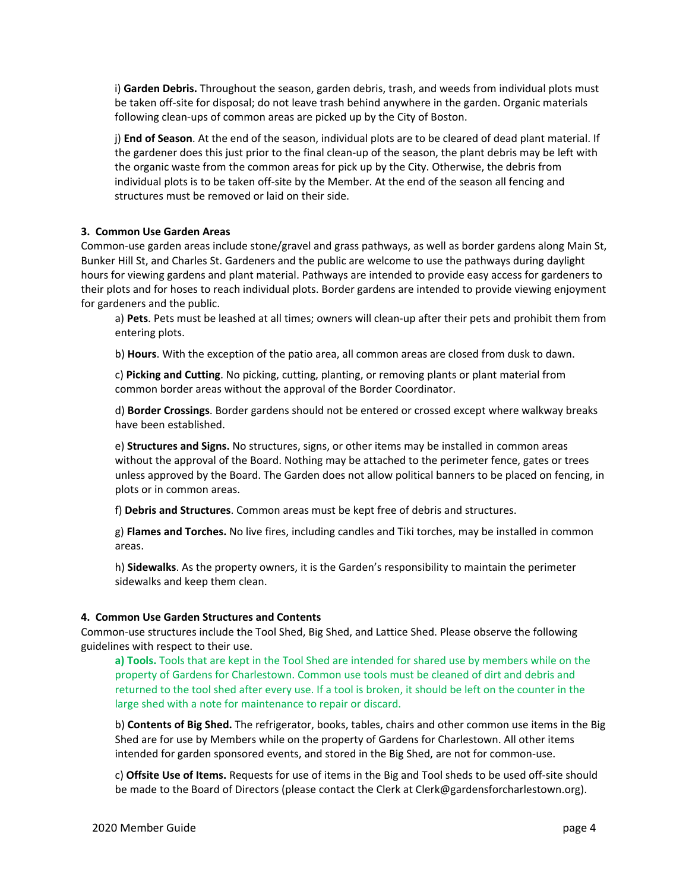i) **Garden Debris.** Throughout the season, garden debris, trash, and weeds from individual plots must be taken off-site for disposal; do not leave trash behind anywhere in the garden. Organic materials following clean‐ups of common areas are picked up by the City of Boston.

j) **End of Season**. At the end of the season, individual plots are to be cleared of dead plant material. If the gardener does this just prior to the final clean‐up of the season, the plant debris may be left with the organic waste from the common areas for pick up by the City. Otherwise, the debris from individual plots is to be taken off‐site by the Member. At the end of the season all fencing and structures must be removed or laid on their side.

### **3. Common Use Garden Areas**

Common‐use garden areas include stone/gravel and grass pathways, as well as border gardens along Main St, Bunker Hill St, and Charles St. Gardeners and the public are welcome to use the pathways during daylight hours for viewing gardens and plant material. Pathways are intended to provide easy access for gardeners to their plots and for hoses to reach individual plots. Border gardens are intended to provide viewing enjoyment for gardeners and the public.

a) **Pets**. Pets must be leashed at all times; owners will clean‐up after their pets and prohibit them from entering plots.

b) **Hours**. With the exception of the patio area, all common areas are closed from dusk to dawn.

c) **Picking and Cutting**. No picking, cutting, planting, or removing plants or plant material from common border areas without the approval of the Border Coordinator.

d) **Border Crossings**. Border gardens should not be entered or crossed except where walkway breaks have been established.

e) **Structures and Signs.** No structures, signs, or other items may be installed in common areas without the approval of the Board. Nothing may be attached to the perimeter fence, gates or trees unless approved by the Board. The Garden does not allow political banners to be placed on fencing, in plots or in common areas.

f) **Debris and Structures**. Common areas must be kept free of debris and structures.

g) **Flames and Torches.** No live fires, including candles and Tiki torches, may be installed in common areas.

h) **Sidewalks**. As the property owners, it is the Garden's responsibility to maintain the perimeter sidewalks and keep them clean.

### **4. Common Use Garden Structures and Contents**

Common‐use structures include the Tool Shed, Big Shed, and Lattice Shed. Please observe the following guidelines with respect to their use.

**a) Tools.** Tools that are kept in the Tool Shed are intended for shared use by members while on the property of Gardens for Charlestown. Common use tools must be cleaned of dirt and debris and returned to the tool shed after every use. If a tool is broken, it should be left on the counter in the large shed with a note for maintenance to repair or discard.

b) **Contents of Big Shed.** The refrigerator, books, tables, chairs and other common use items in the Big Shed are for use by Members while on the property of Gardens for Charlestown. All other items intended for garden sponsored events, and stored in the Big Shed, are not for common-use.

c) **Offsite Use of Items.** Requests for use of items in the Big and Tool sheds to be used off‐site should be made to the Board of Directors (please contact the Clerk at Clerk@gardensforcharlestown.org).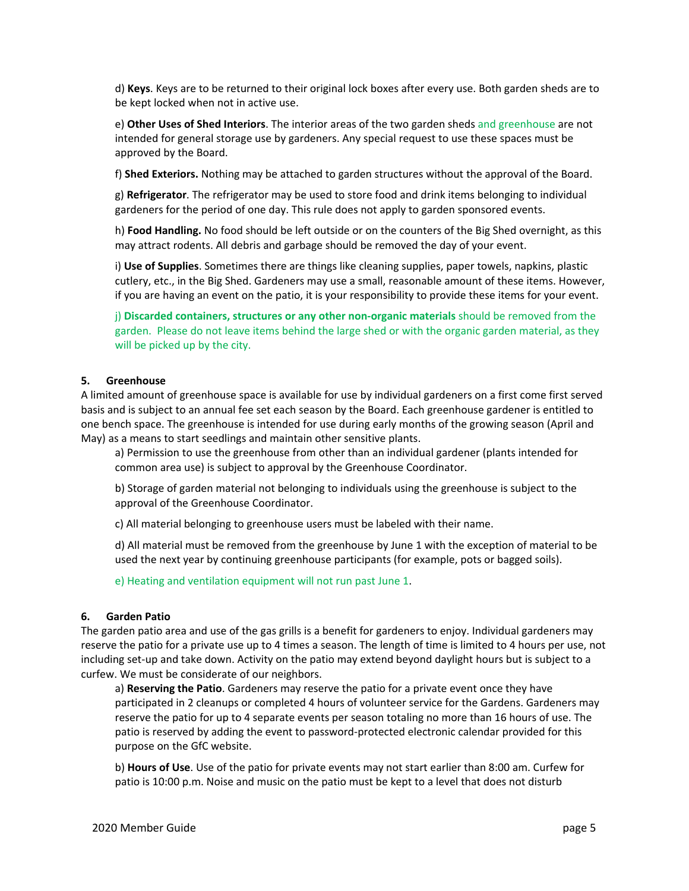d) **Keys**. Keys are to be returned to their original lock boxes after every use. Both garden sheds are to be kept locked when not in active use.

e) **Other Uses of Shed Interiors**. The interior areas of the two garden sheds and greenhouse are not intended for general storage use by gardeners. Any special request to use these spaces must be approved by the Board.

f) **Shed Exteriors.** Nothing may be attached to garden structures without the approval of the Board.

g) **Refrigerator**. The refrigerator may be used to store food and drink items belonging to individual gardeners for the period of one day. This rule does not apply to garden sponsored events.

h) **Food Handling.** No food should be left outside or on the counters of the Big Shed overnight, as this may attract rodents. All debris and garbage should be removed the day of your event.

i) **Use of Supplies**. Sometimes there are things like cleaning supplies, paper towels, napkins, plastic cutlery, etc., in the Big Shed. Gardeners may use a small, reasonable amount of these items. However, if you are having an event on the patio, it is your responsibility to provide these items for your event.

j) **Discarded containers, structures or any other non‐organic materials** should be removed from the garden. Please do not leave items behind the large shed or with the organic garden material, as they will be picked up by the city.

### **5. Greenhouse**

A limited amount of greenhouse space is available for use by individual gardeners on a first come first served basis and is subject to an annual fee set each season by the Board. Each greenhouse gardener is entitled to one bench space. The greenhouse is intended for use during early months of the growing season (April and May) as a means to start seedlings and maintain other sensitive plants.

a) Permission to use the greenhouse from other than an individual gardener (plants intended for common area use) is subject to approval by the Greenhouse Coordinator.

b) Storage of garden material not belonging to individuals using the greenhouse is subject to the approval of the Greenhouse Coordinator.

c) All material belonging to greenhouse users must be labeled with their name.

d) All material must be removed from the greenhouse by June 1 with the exception of material to be used the next year by continuing greenhouse participants (for example, pots or bagged soils).

e) Heating and ventilation equipment will not run past June 1.

#### **6. Garden Patio**

The garden patio area and use of the gas grills is a benefit for gardeners to enjoy. Individual gardeners may reserve the patio for a private use up to 4 times a season. The length of time is limited to 4 hours per use, not including set‐up and take down. Activity on the patio may extend beyond daylight hours but is subject to a curfew. We must be considerate of our neighbors.

a) **Reserving the Patio**. Gardeners may reserve the patio for a private event once they have participated in 2 cleanups or completed 4 hours of volunteer service for the Gardens. Gardeners may reserve the patio for up to 4 separate events per season totaling no more than 16 hours of use. The patio is reserved by adding the event to password‐protected electronic calendar provided for this purpose on the GfC website.

b) **Hours of Use**. Use of the patio for private events may not start earlier than 8:00 am. Curfew for patio is 10:00 p.m. Noise and music on the patio must be kept to a level that does not disturb